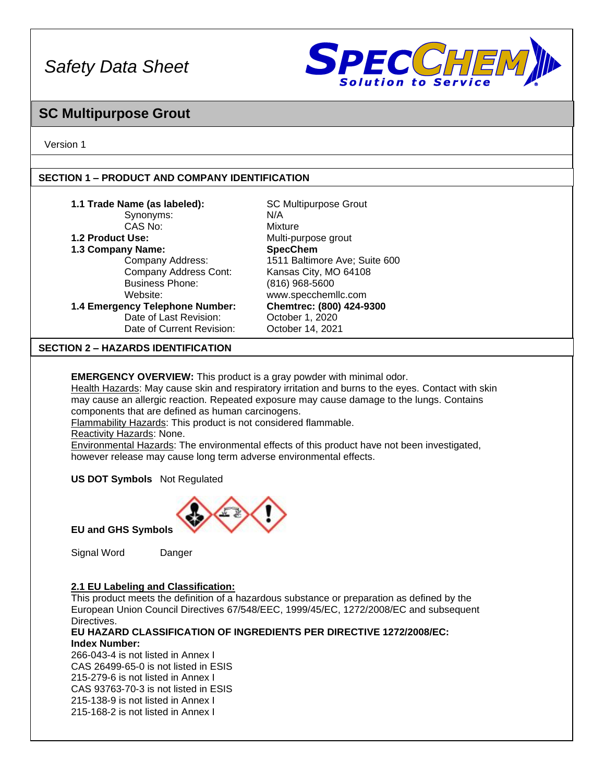

# **SC Multipurpose Grout**

Version 1

### **SECTION 1 – PRODUCT AND COMPANY IDENTIFICATION**

| 1.1 Trade Name (as labeled):              | <b>SC Multipurpose Grout</b>  |
|-------------------------------------------|-------------------------------|
| Synonyms:                                 | N/A                           |
| CAS No:                                   | Mixture                       |
| 1.2 Product Use:                          | Multi-purpose grout           |
| 1.3 Company Name:                         | <b>SpecChem</b>               |
| Company Address:                          | 1511 Baltimore Ave; Suite 600 |
| Company Address Cont:                     | Kansas City, MO 64108         |
| <b>Business Phone:</b>                    | $(816)$ 968-5600              |
| Website:                                  | www.specchemllc.com           |
| 1.4 Emergency Telephone Number:           | Chemtrec: (800) 424-9300      |
| Date of Last Revision:                    | October 1, 2020               |
| Date of Current Revision:                 | October 14, 2021              |
| <b>SECTION 2 - HAZARDS IDENTIFICATION</b> |                               |

**EMERGENCY OVERVIEW:** This product is a gray powder with minimal odor.

Health Hazards: May cause skin and respiratory irritation and burns to the eyes. Contact with skin may cause an allergic reaction. Repeated exposure may cause damage to the lungs. Contains components that are defined as human carcinogens.

Flammability Hazards: This product is not considered flammable.

Reactivity Hazards: None.

Environmental Hazards: The environmental effects of this product have not been investigated, however release may cause long term adverse environmental effects.

**US DOT Symbols** Not Regulated



**EU and GHS Symbols**

Signal Word Danger

### **2.1 EU Labeling and Classification:**

This product meets the definition of a hazardous substance or preparation as defined by the European Union Council Directives 67/548/EEC, 1999/45/EC, 1272/2008/EC and subsequent Directives.

### **EU HAZARD CLASSIFICATION OF INGREDIENTS PER DIRECTIVE 1272/2008/EC: Index Number:**

266-043-4 is not listed in Annex I CAS 26499-65-0 is not listed in ESIS 215-279-6 is not listed in Annex I CAS 93763-70-3 is not listed in ESIS 215-138-9 is not listed in Annex I 215-168-2 is not listed in Annex I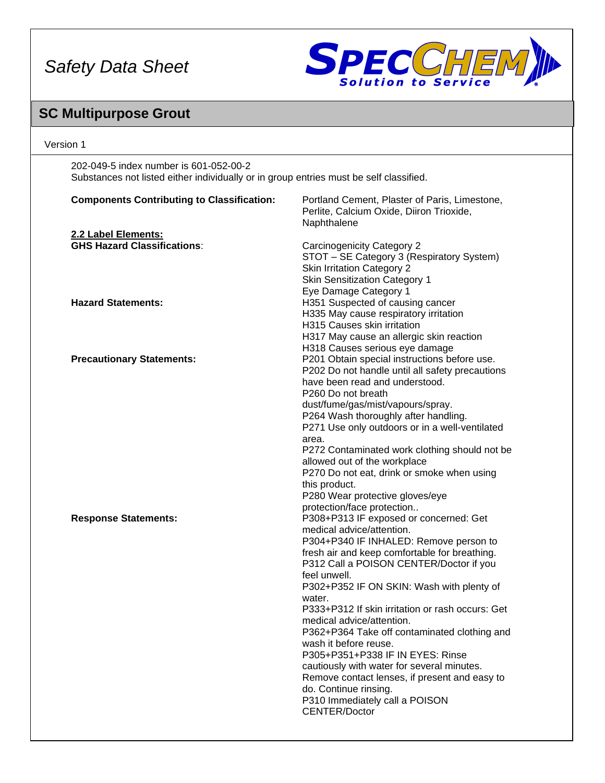

# **SC Multipurpose Grout**

| Version 1                                                                                                                        |                                                                                                                                                                                                                                                                                                                                                                                                                                                                                                                                                                                                                                                                  |  |
|----------------------------------------------------------------------------------------------------------------------------------|------------------------------------------------------------------------------------------------------------------------------------------------------------------------------------------------------------------------------------------------------------------------------------------------------------------------------------------------------------------------------------------------------------------------------------------------------------------------------------------------------------------------------------------------------------------------------------------------------------------------------------------------------------------|--|
| 202-049-5 index number is 601-052-00-2<br>Substances not listed either individually or in group entries must be self classified. |                                                                                                                                                                                                                                                                                                                                                                                                                                                                                                                                                                                                                                                                  |  |
| <b>Components Contributing to Classification:</b>                                                                                | Portland Cement, Plaster of Paris, Limestone,<br>Perlite, Calcium Oxide, Diiron Trioxide,<br>Naphthalene                                                                                                                                                                                                                                                                                                                                                                                                                                                                                                                                                         |  |
| 2.2 Label Elements:<br><b>GHS Hazard Classifications:</b>                                                                        | <b>Carcinogenicity Category 2</b><br>STOT - SE Category 3 (Respiratory System)<br><b>Skin Irritation Category 2</b><br><b>Skin Sensitization Category 1</b><br>Eye Damage Category 1                                                                                                                                                                                                                                                                                                                                                                                                                                                                             |  |
| <b>Hazard Statements:</b>                                                                                                        | H351 Suspected of causing cancer<br>H335 May cause respiratory irritation<br>H315 Causes skin irritation<br>H317 May cause an allergic skin reaction<br>H318 Causes serious eye damage                                                                                                                                                                                                                                                                                                                                                                                                                                                                           |  |
| <b>Precautionary Statements:</b>                                                                                                 | P201 Obtain special instructions before use.<br>P202 Do not handle until all safety precautions<br>have been read and understood.<br>P <sub>260</sub> Do not breath<br>dust/fume/gas/mist/vapours/spray.<br>P264 Wash thoroughly after handling.<br>P271 Use only outdoors or in a well-ventilated<br>area.<br>P272 Contaminated work clothing should not be<br>allowed out of the workplace<br>P270 Do not eat, drink or smoke when using<br>this product.<br>P280 Wear protective gloves/eye<br>protection/face protection                                                                                                                                     |  |
| <b>Response Statements:</b>                                                                                                      | P308+P313 IF exposed or concerned: Get<br>medical advice/attention.<br>P304+P340 IF INHALED: Remove person to<br>fresh air and keep comfortable for breathing.<br>P312 Call a POISON CENTER/Doctor if you<br>feel unwell.<br>P302+P352 IF ON SKIN: Wash with plenty of<br>water.<br>P333+P312 If skin irritation or rash occurs: Get<br>medical advice/attention.<br>P362+P364 Take off contaminated clothing and<br>wash it before reuse.<br>P305+P351+P338 IF IN EYES: Rinse<br>cautiously with water for several minutes.<br>Remove contact lenses, if present and easy to<br>do. Continue rinsing.<br>P310 Immediately call a POISON<br><b>CENTER/Doctor</b> |  |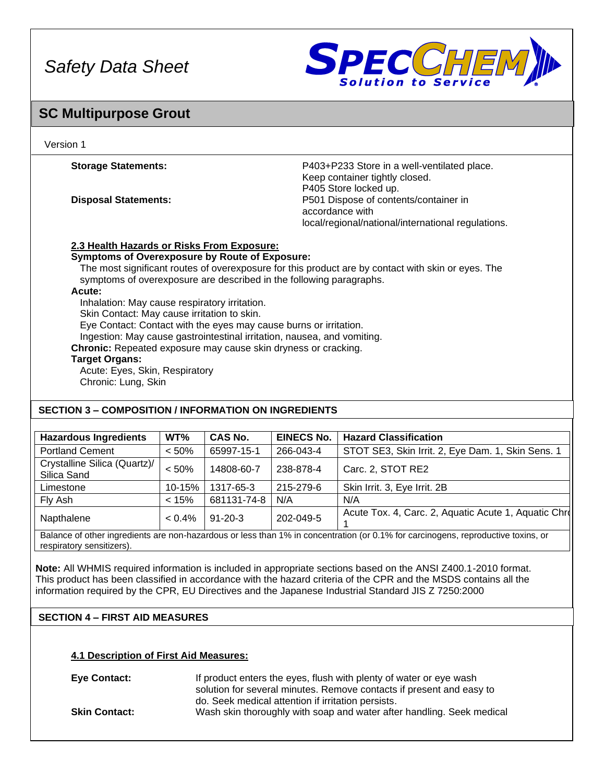

# **SC Multipurpose Grout**

#### Version 1

| <b>Storage Statements:</b>  | P403+P233 Store in a well-ventilated place.<br>Keep container tightly closed.<br>P405 Store locked up.         |
|-----------------------------|----------------------------------------------------------------------------------------------------------------|
| <b>Disposal Statements:</b> | P501 Dispose of contents/container in<br>accordance with<br>local/regional/national/international regulations. |

## **2.3 Health Hazards or Risks From Exposure:**

**Symptoms of Overexposure by Route of Exposure:**

The most significant routes of overexposure for this product are by contact with skin or eyes. The symptoms of overexposure are described in the following paragraphs.

#### **Acute:**

Inhalation: May cause respiratory irritation.

Skin Contact: May cause irritation to skin.

Eye Contact: Contact with the eyes may cause burns or irritation.

Ingestion: May cause gastrointestinal irritation, nausea, and vomiting.

**Chronic:** Repeated exposure may cause skin dryness or cracking.

#### **Target Organs:**

Acute: Eyes, Skin, Respiratory Chronic: Lung, Skin

## **SECTION 3 – COMPOSITION / INFORMATION ON INGREDIENTS**

| <b>Hazardous Ingredients</b>                | $WT\%$    | <b>CAS No.</b> | <b>EINECS No.</b> | <b>Hazard Classification</b>                         |
|---------------------------------------------|-----------|----------------|-------------------|------------------------------------------------------|
| <b>Portland Cement</b>                      | $< 50\%$  | 65997-15-1     | 266-043-4         | STOT SE3, Skin Irrit. 2, Eye Dam. 1, Skin Sens. 1    |
| Crystalline Silica (Quartz)/<br>Silica Sand | < 50%     | 14808-60-7     | 238-878-4         | Carc. 2, STOT RE2                                    |
| Limestone                                   | 10-15%    | 1317-65-3      | 215-279-6         | Skin Irrit. 3, Eye Irrit. 2B                         |
| Fly Ash                                     | < 15%     | 681131-74-8    | N/A               | N/A                                                  |
| Napthalene                                  | $< 0.4\%$ | $91 - 20 - 3$  | 202-049-5         | Acute Tox. 4, Carc. 2, Aquatic Acute 1, Aquatic Chrd |

Balance of other ingredients are non-hazardous or less than 1% in concentration (or 0.1% for carcinogens, reproductive toxins, or respiratory sensitizers).

**Note:** All WHMIS required information is included in appropriate sections based on the ANSI Z400.1-2010 format. This product has been classified in accordance with the hazard criteria of the CPR and the MSDS contains all the information required by the CPR, EU Directives and the Japanese Industrial Standard JIS Z 7250:2000

### **SECTION 4 – FIRST AID MEASURES**

#### **4.1 Description of First Aid Measures:**

**Eye Contact:** If product enters the eyes, flush with plenty of water or eye wash solution for several minutes. Remove contacts if present and easy to do. Seek medical attention if irritation persists. **Skin Contact:** Wash skin thoroughly with soap and water after handling. Seek medical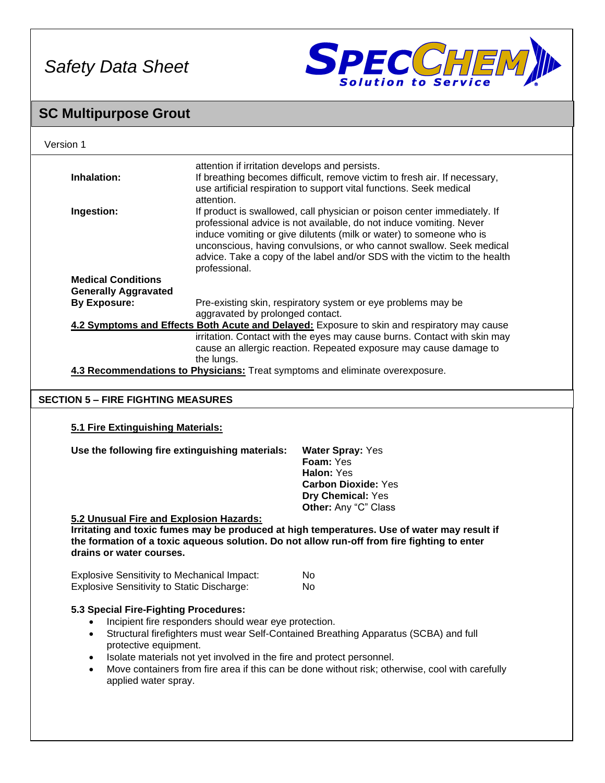

## Version 1 **SC Multipurpose Grout** attention if irritation develops and persists. **Inhalation:** If breathing becomes difficult, remove victim to fresh air. If necessary, use artificial respiration to support vital functions. Seek medical attention. **Ingestion:** If product is swallowed, call physician or poison center immediately. If professional advice is not available, do not induce vomiting. Never induce vomiting or give dilutents (milk or water) to someone who is unconscious, having convulsions, or who cannot swallow. Seek medical advice. Take a copy of the label and/or SDS with the victim to the health professional. **Medical Conditions Generally Aggravated By Exposure:** Pre-existing skin, respiratory system or eye problems may be aggravated by prolonged contact. **4.2 Symptoms and Effects Both Acute and Delayed:** Exposure to skin and respiratory may cause irritation. Contact with the eyes may cause burns. Contact with skin may cause an allergic reaction. Repeated exposure may cause damage to the lungs. **4.3 Recommendations to Physicians:** Treat symptoms and eliminate overexposure. **5.1 Fire Extinguishing Materials: Use the following fire extinguishing materials: Water Spray:** Yes **Foam:** Yes **Halon:** Yes **Carbon Dioxide:** Yes **Dry Chemical:** Yes **Other:** Any "C" Class **5.2 Unusual Fire and Explosion Hazards: Irritating and toxic fumes may be produced at high temperatures. Use of water may result if the formation of a toxic aqueous solution. Do not allow run-off from fire fighting to enter drains or water courses.** Explosive Sensitivity to Mechanical Impact: No Explosive Sensitivity to Static Discharge: No **5.3 Special Fire-Fighting Procedures:** • Incipient fire responders should wear eye protection. • Structural firefighters must wear Self-Contained Breathing Apparatus (SCBA) and full protective equipment. • Isolate materials not yet involved in the fire and protect personnel. • Move containers from fire area if this can be done without risk; otherwise, cool with carefully applied water spray. **SECTION 5 – FIRE FIGHTING MEASURES**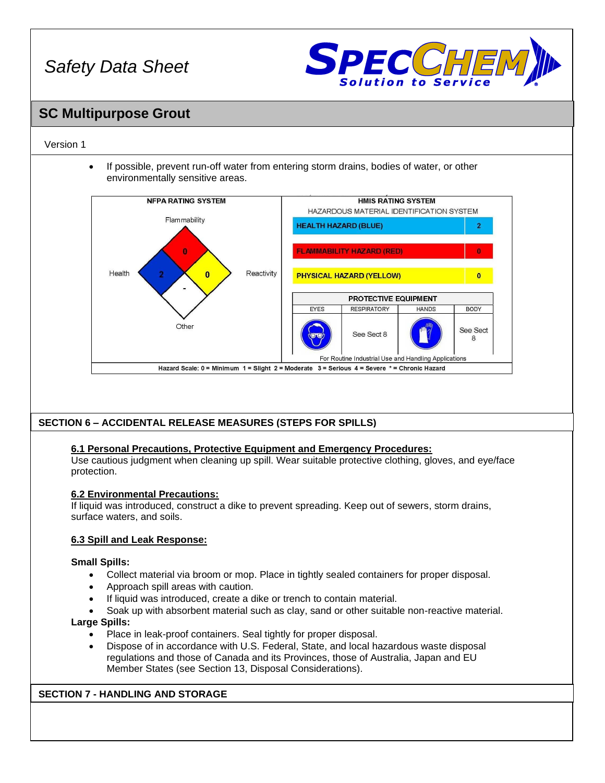

# **SC Multipurpose Grout**

### Version 1

• If possible, prevent run-off water from entering storm drains, bodies of water, or other environmentally sensitive areas.



## **SECTION 6 – ACCIDENTAL RELEASE MEASURES (STEPS FOR SPILLS)**

### **6.1 Personal Precautions, Protective Equipment and Emergency Procedures:**

Use cautious judgment when cleaning up spill. Wear suitable protective clothing, gloves, and eye/face protection.

#### **6.2 Environmental Precautions:**

If liquid was introduced, construct a dike to prevent spreading. Keep out of sewers, storm drains, surface waters, and soils.

#### **6.3 Spill and Leak Response:**

#### **Small Spills:**

- Collect material via broom or mop. Place in tightly sealed containers for proper disposal.
- Approach spill areas with caution.
- If liquid was introduced, create a dike or trench to contain material.
- Soak up with absorbent material such as clay, sand or other suitable non-reactive material.

### **Large Spills:**

- Place in leak-proof containers. Seal tightly for proper disposal.
- Dispose of in accordance with U.S. Federal, State, and local hazardous waste disposal regulations and those of Canada and its Provinces, those of Australia, Japan and EU Member States (see Section 13, Disposal Considerations).

### **SECTION 7 - HANDLING AND STORAGE**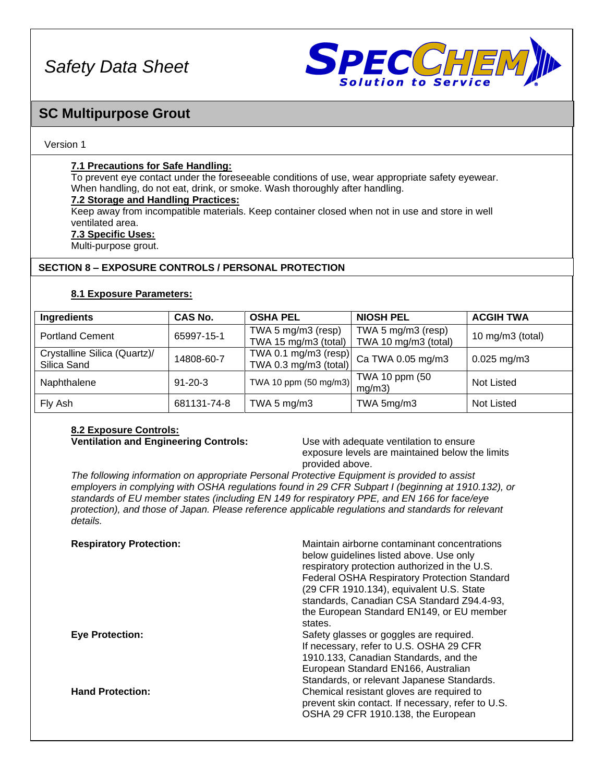

## **SC Multipurpose Grout**

#### Version 1

## **7.1 Precautions for Safe Handling:**

To prevent eye contact under the foreseeable conditions of use, wear appropriate safety eyewear. When handling, do not eat, drink, or smoke. Wash thoroughly after handling.

#### **7.2 Storage and Handling Practices:**

Keep away from incompatible materials. Keep container closed when not in use and store in well ventilated area.

#### **7.3 Specific Uses:**

Multi-purpose grout.

### **SECTION 8 – EXPOSURE CONTROLS / PERSONAL PROTECTION**

#### **8.1 Exposure Parameters:**

| Ingredients                                 | CAS No.       | <b>OSHA PEL</b>                               | <b>NIOSH PEL</b>                           | <b>ACGIH TWA</b>    |
|---------------------------------------------|---------------|-----------------------------------------------|--------------------------------------------|---------------------|
| <b>Portland Cement</b>                      | 65997-15-1    | TWA 5 mg/m3 (resp)<br>TWA 15 mg/m3 (total)    | TWA 5 mg/m3 (resp)<br>TWA 10 mg/m3 (total) | 10 mg/m $3$ (total) |
| Crystalline Silica (Quartz)/<br>Silica Sand | 14808-60-7    | TWA 0.1 mg/m3 (resp)<br>TWA 0.3 mg/m3 (total) | Ca TWA 0.05 mg/m3                          | $0.025$ mg/m3       |
| Naphthalene                                 | $91 - 20 - 3$ | TWA 10 ppm (50 mg/m3)                         | TWA 10 ppm (50<br>mg/m3)                   | <b>Not Listed</b>   |
| Fly Ash                                     | 681131-74-8   | TWA 5 $mg/m3$                                 | TWA 5mg/m3                                 | <b>Not Listed</b>   |

### **8.2 Exposure Controls:**

**Ventilation and Engineering Controls:** Use with adequate ventilation to ensure

exposure levels are maintained below the limits provided above.

*The following information on appropriate Personal Protective Equipment is provided to assist employers in complying with OSHA regulations found in 29 CFR Subpart I (beginning at 1910.132), or standards of EU member states (including EN 149 for respiratory PPE, and EN 166 for face/eye protection), and those of Japan. Please reference applicable regulations and standards for relevant details.*

| <b>Respiratory Protection:</b> | Maintain airborne contaminant concentrations<br>below guidelines listed above. Use only<br>respiratory protection authorized in the U.S.<br><b>Federal OSHA Respiratory Protection Standard</b><br>(29 CFR 1910.134), equivalent U.S. State<br>standards, Canadian CSA Standard Z94.4-93,<br>the European Standard EN149, or EU member<br>states. |
|--------------------------------|---------------------------------------------------------------------------------------------------------------------------------------------------------------------------------------------------------------------------------------------------------------------------------------------------------------------------------------------------|
| <b>Eye Protection:</b>         | Safety glasses or goggles are required.<br>If necessary, refer to U.S. OSHA 29 CFR<br>1910.133, Canadian Standards, and the<br>European Standard EN166, Australian<br>Standards, or relevant Japanese Standards.                                                                                                                                  |
| <b>Hand Protection:</b>        | Chemical resistant gloves are required to<br>prevent skin contact. If necessary, refer to U.S.<br>OSHA 29 CFR 1910.138, the European                                                                                                                                                                                                              |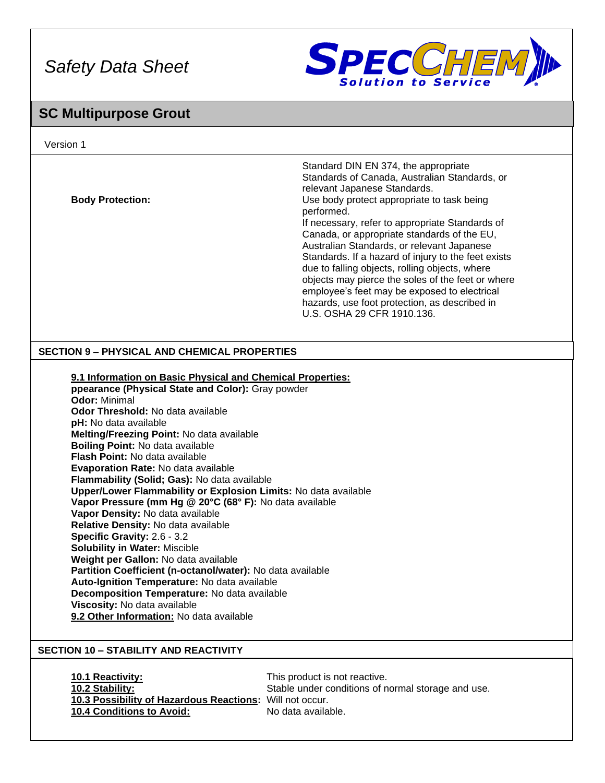

# **SC Multipurpose Grout**

| Version 1                                                                                                                                                                                                                                                                                                                                                                                                                                                                                                                                                                                                                                                                                                                                                                                                                                                                                                                                                                                       |                                                                                                                                                                                                                                                                                                                                                                                                                                                                                                                                                                                                                                |  |
|-------------------------------------------------------------------------------------------------------------------------------------------------------------------------------------------------------------------------------------------------------------------------------------------------------------------------------------------------------------------------------------------------------------------------------------------------------------------------------------------------------------------------------------------------------------------------------------------------------------------------------------------------------------------------------------------------------------------------------------------------------------------------------------------------------------------------------------------------------------------------------------------------------------------------------------------------------------------------------------------------|--------------------------------------------------------------------------------------------------------------------------------------------------------------------------------------------------------------------------------------------------------------------------------------------------------------------------------------------------------------------------------------------------------------------------------------------------------------------------------------------------------------------------------------------------------------------------------------------------------------------------------|--|
| <b>Body Protection:</b>                                                                                                                                                                                                                                                                                                                                                                                                                                                                                                                                                                                                                                                                                                                                                                                                                                                                                                                                                                         | Standard DIN EN 374, the appropriate<br>Standards of Canada, Australian Standards, or<br>relevant Japanese Standards.<br>Use body protect appropriate to task being<br>performed.<br>If necessary, refer to appropriate Standards of<br>Canada, or appropriate standards of the EU,<br>Australian Standards, or relevant Japanese<br>Standards. If a hazard of injury to the feet exists<br>due to falling objects, rolling objects, where<br>objects may pierce the soles of the feet or where<br>employee's feet may be exposed to electrical<br>hazards, use foot protection, as described in<br>U.S. OSHA 29 CFR 1910.136. |  |
| <b>SECTION 9 - PHYSICAL AND CHEMICAL PROPERTIES</b>                                                                                                                                                                                                                                                                                                                                                                                                                                                                                                                                                                                                                                                                                                                                                                                                                                                                                                                                             |                                                                                                                                                                                                                                                                                                                                                                                                                                                                                                                                                                                                                                |  |
|                                                                                                                                                                                                                                                                                                                                                                                                                                                                                                                                                                                                                                                                                                                                                                                                                                                                                                                                                                                                 |                                                                                                                                                                                                                                                                                                                                                                                                                                                                                                                                                                                                                                |  |
| 9.1 Information on Basic Physical and Chemical Properties:<br>ppearance (Physical State and Color): Gray powder<br><b>Odor: Minimal</b><br>Odor Threshold: No data available<br>pH: No data available<br>Melting/Freezing Point: No data available<br><b>Boiling Point: No data available</b><br><b>Flash Point: No data available</b><br>Evaporation Rate: No data available<br>Flammability (Solid; Gas): No data available<br>Upper/Lower Flammability or Explosion Limits: No data available<br>Vapor Pressure (mm Hg @ 20°C (68° F): No data available<br>Vapor Density: No data available<br>Relative Density: No data available<br>Specific Gravity: 2.6 - 3.2<br><b>Solubility in Water: Miscible</b><br>Weight per Gallon: No data available<br>Partition Coefficient (n-octanol/water): No data available<br>Auto-Ignition Temperature: No data available<br>Decomposition Temperature: No data available<br>Viscosity: No data available<br>9.2 Other Information: No data available |                                                                                                                                                                                                                                                                                                                                                                                                                                                                                                                                                                                                                                |  |
| <b>SECTION 10 - STABILITY AND REACTIVITY</b>                                                                                                                                                                                                                                                                                                                                                                                                                                                                                                                                                                                                                                                                                                                                                                                                                                                                                                                                                    |                                                                                                                                                                                                                                                                                                                                                                                                                                                                                                                                                                                                                                |  |
| 10.1 Reactivity:<br>10.2 Stability:<br>10.3 Possibility of Hazardous Reactions: Will not occur.<br>10.4 Conditions to Avoid:                                                                                                                                                                                                                                                                                                                                                                                                                                                                                                                                                                                                                                                                                                                                                                                                                                                                    | This product is not reactive.<br>Stable under conditions of normal storage and use.<br>No data available.                                                                                                                                                                                                                                                                                                                                                                                                                                                                                                                      |  |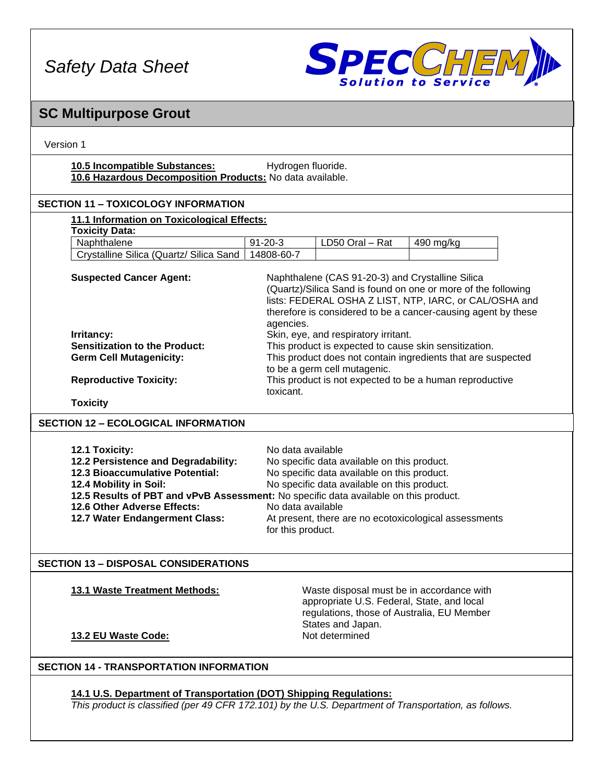

# Version 1 **SC Multipurpose Grout 10.5 Incompatible Substances:** Hydrogen fluoride. **10.6 Hazardous Decomposition Products:** No data available. **11.1 Information on Toxicological Effects: Toxicity Data:** Naphthalene 91-20-3 | LD50 Oral – Rat | 490 mg/kg Crystalline Silica (Quartz/ Silica Sand 14808-60-7 **Suspected Cancer Agent:** Naphthalene (CAS 91-20-3) and Crystalline Silica (Quartz)/Silica Sand is found on one or more of the following lists: FEDERAL OSHA Z LIST, NTP, IARC, or CAL/OSHA and therefore is considered to be a cancer-causing agent by these agencies. **Irritancy:** Skin, eye, and respiratory irritant. **Sensitization to the Product:** This product is expected to cause skin sensitization. **Germ Cell Mutagenicity:** This product does not contain ingredients that are suspected to be a germ cell mutagenic. **Reproductive Toxicity:** This product is not expected to be a human reproductive toxicant. **Toxicity 12.1 Toxicity:** No data available **12.2 Persistence and Degradability:** No specific data available on this product. **12.3 Bioaccumulative Potential:** No specific data available on this product. **12.4 Mobility in Soil:** No specific data available on this product. **12.5 Results of PBT and vPvB Assessment:** No specific data available on this product. **12.6 Other Adverse Effects:** No data available **12.7 Water Endangerment Class:** At present, there are no ecotoxicological assessments for this product. **13.1 Waste Treatment Methods:** Waste disposal must be in accordance with appropriate U.S. Federal, State, and local regulations, those of Australia, EU Member States and Japan.<br>Not determined **13.2 EU Waste Code: 14.1 U.S. Department of Transportation (DOT) Shipping Regulations:** *This product is classified (per 49 CFR 172.101) by the U.S. Department of Transportation, as follows.* **SECTION 14 - TRANSPORTATION INFORMATION SECTION 13 – DISPOSAL CONSIDERATIONS SECTION 12 – ECOLOGICAL INFORMATION SECTION 11 – TOXICOLOGY INFORMATION**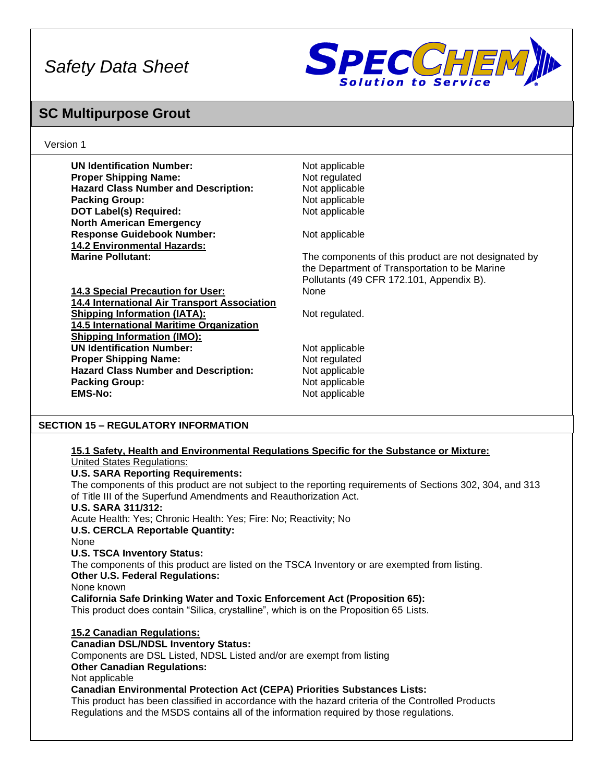

# **SC Multipurpose Grout**

#### Version 1

| <b>UN Identification Number:</b>             | Not applicable                                       |
|----------------------------------------------|------------------------------------------------------|
| <b>Proper Shipping Name:</b>                 | Not regulated                                        |
| <b>Hazard Class Number and Description:</b>  | Not applicable                                       |
| <b>Packing Group:</b>                        | Not applicable                                       |
| <b>DOT Label(s) Required:</b>                | Not applicable                                       |
| <b>North American Emergency</b>              |                                                      |
| <b>Response Guidebook Number:</b>            | Not applicable                                       |
| <b>14.2 Environmental Hazards:</b>           |                                                      |
| <b>Marine Pollutant:</b>                     | The components of this product are not designated by |
|                                              | the Department of Transportation to be Marine        |
|                                              | Pollutants (49 CFR 172.101, Appendix B).             |
| <b>14.3 Special Precaution for User:</b>     | None                                                 |
| 14.4 International Air Transport Association |                                                      |
| <b>Shipping Information (IATA):</b>          | Not regulated.                                       |
| 14.5 International Maritime Organization     |                                                      |
| <b>Shipping Information (IMO):</b>           |                                                      |
| <b>UN Identification Number:</b>             | Not applicable                                       |
| <b>Proper Shipping Name:</b>                 | Not regulated                                        |
| <b>Hazard Class Number and Description:</b>  | Not applicable                                       |
| <b>Packing Group:</b>                        | Not applicable                                       |
| <b>EMS-No:</b>                               | Not applicable                                       |
|                                              |                                                      |

### **SECTION 15 – REGULATORY INFORMATION**

#### **15.1 Safety, Health and Environmental Regulations Specific for the Substance or Mixture:** United States Regulations:

#### **U.S. SARA Reporting Requirements:**

The components of this product are not subject to the reporting requirements of Sections 302, 304, and 313 of Title III of the Superfund Amendments and Reauthorization Act. **U.S. SARA 311/312:**

Acute Health: Yes; Chronic Health: Yes; Fire: No; Reactivity; No **U.S. CERCLA Reportable Quantity:**

None

**U.S. TSCA Inventory Status:**

The components of this product are listed on the TSCA Inventory or are exempted from listing. **Other U.S. Federal Regulations:**

None known

**California Safe Drinking Water and Toxic Enforcement Act (Proposition 65):**

This product does contain "Silica, crystalline", which is on the Proposition 65 Lists.

**15.2 Canadian Regulations: Canadian DSL/NDSL Inventory Status:** Components are DSL Listed, NDSL Listed and/or are exempt from listing **Other Canadian Regulations:** Not applicable **Canadian Environmental Protection Act (CEPA) Priorities Substances Lists:** This product has been classified in accordance with the hazard criteria of the Controlled Products Regulations and the MSDS contains all of the information required by those regulations.